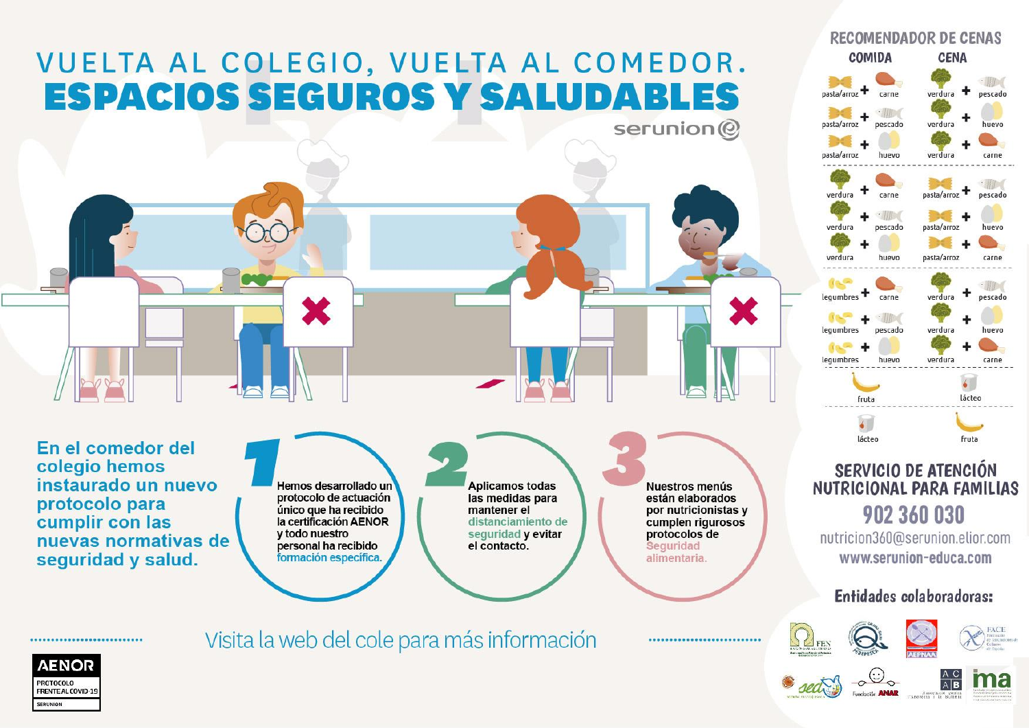